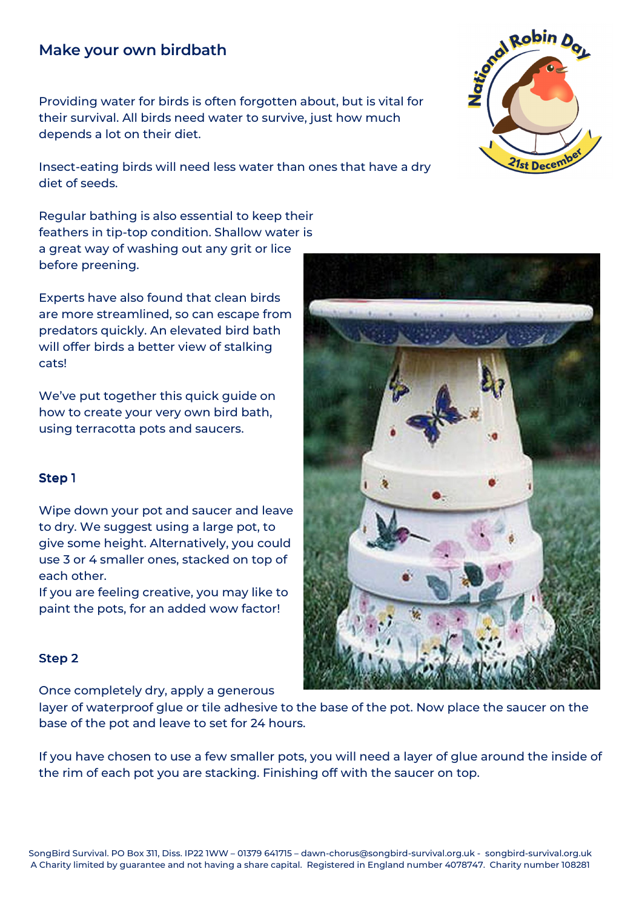# **Make your own birdbath**

Providing water for birds is often forgotten about, but is vital for their survival. All birds need water to survive, just how much depends a lot on their diet.

Insect-eating birds will need less water than ones that have a dry diet of seeds.

Regular bathing is also essential to keep their feathers in tip-top condition. Shallow water is a great way of washing out any grit or lice before preening.

Experts have also found that clean birds are more streamlined, so can escape from predators quickly. An elevated bird bath will offer birds a better view of stalking cats!

We've put together this quick guide on how to create your very own bird bath, using terracotta pots and saucers.

## Step 1

Wipe down your pot and saucer and leave to dry. We suggest using a large pot, to give some height. Alternatively, you could use 3 or 4 smaller ones, stacked on top of each other.

If you are feeling creative, you may like to paint the pots, for an added wow factor!

#### Step 2

Once completely dry, apply a generous

layer of waterproof glue or tile adhesive to the base of the pot. Now place the saucer on the base of the pot and leave to set for 24 hours.

If you have chosen to use a few smaller pots, you will need a layer of glue around the inside of the rim of each pot you are stacking. Finishing off with the saucer on top.